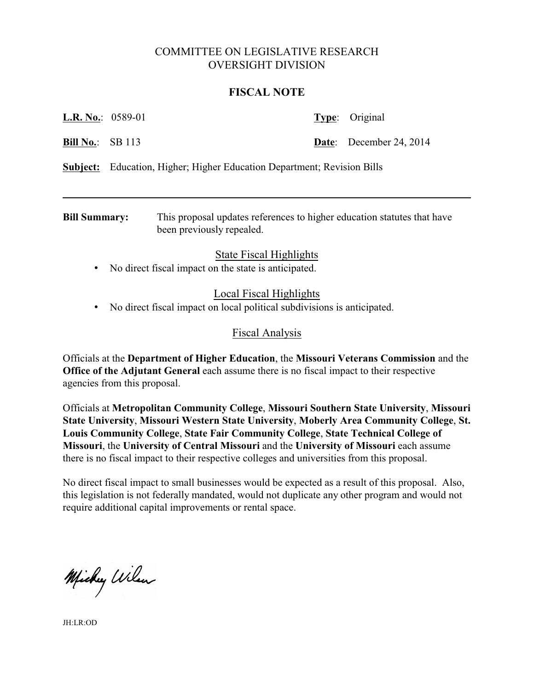# COMMITTEE ON LEGISLATIVE RESEARCH OVERSIGHT DIVISION

#### **FISCAL NOTE**

| <b>Bill Summary:</b>     | This proposal updates references to higher education statutes that have |                                |
|--------------------------|-------------------------------------------------------------------------|--------------------------------|
| Subject:                 | Education, Higher; Higher Education Department; Revision Bills          |                                |
| <b>Bill No.:</b> SB 113  |                                                                         | <b>Date:</b> December 24, 2014 |
| <b>L.R. No.:</b> 0589-01 |                                                                         | Type: Original                 |

been previously repealed.

# State Fiscal Highlights

• No direct fiscal impact on the state is anticipated.

# Local Fiscal Highlights

• No direct fiscal impact on local political subdivisions is anticipated.

#### Fiscal Analysis

Officials at the **Department of Higher Education**, the **Missouri Veterans Commission** and the **Office of the Adjutant General** each assume there is no fiscal impact to their respective agencies from this proposal.

Officials at **Metropolitan Community College**, **Missouri Southern State University**, **Missouri State University**, **Missouri Western State University**, **Moberly Area Community College**, **St. Louis Community College**, **State Fair Community College**, **State Technical College of Missouri**, the **University of Central Missouri** and the **University of Missouri** each assume there is no fiscal impact to their respective colleges and universities from this proposal.

No direct fiscal impact to small businesses would be expected as a result of this proposal. Also, this legislation is not federally mandated, would not duplicate any other program and would not require additional capital improvements or rental space.

Michy Wilson

JH:LR:OD